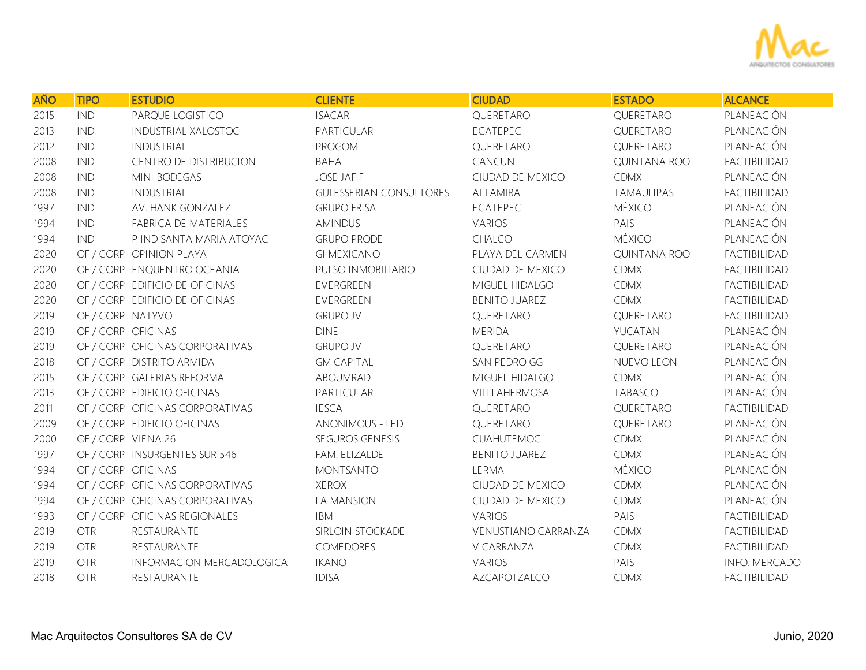

| <b>AÑO</b> | <b>TIPO</b>        | <b>ESTUDIO</b>                  | <b>CLIENTE</b>                 | <b>CIUDAD</b>              | <b>ESTADO</b>       | <b>ALCANCE</b>       |
|------------|--------------------|---------------------------------|--------------------------------|----------------------------|---------------------|----------------------|
| 2015       | <b>IND</b>         | PARQUE LOGISTICO                | <b>ISACAR</b>                  | QUERETARO                  | QUERETARO           | PLANEACIÓN           |
| 2013       | <b>IND</b>         | <b>INDUSTRIAL XALOSTOC</b>      | PARTICULAR                     | ECATEPEC                   | QUERETARO           | PLANEACIÓN           |
| 2012       | <b>IND</b>         | INDUSTRIAL                      | PROGOM                         | QUERETARO                  | QUERETARO           | PLANEACIÓN           |
| 2008       | <b>IND</b>         | CENTRO DE DISTRIBUCION          | <b>BAHA</b>                    | CANCUN                     | QUINTANA ROO        | FACTIBILIDAD         |
| 2008       | <b>IND</b>         | <b>MINI BODEGAS</b>             | <b>JOSE JAFIF</b>              | CIUDAD DE MEXICO           | <b>CDMX</b>         | PLANEACIÓN           |
| 2008       | <b>IND</b>         | <b>INDUSTRIAL</b>               | <b>GULESSERIAN CONSULTORES</b> | ALTAMIRA                   | TAMAULIPAS          | FACTIBILIDAD         |
| 1997       | <b>IND</b>         | AV. HANK GONZALEZ               | <b>GRUPO FRISA</b>             | ECATEPEC                   | <b>MÉXICO</b>       | PLANEACIÓN           |
| 1994       | <b>IND</b>         | FABRICA DE MATERIALES           | <b>AMINDUS</b>                 | <b>VARIOS</b>              | PAIS                | PLANEACIÓN           |
| 1994       | <b>IND</b>         | P IND SANTA MARIA ATOYAC        | <b>GRUPO PRODE</b>             | CHALCO                     | MÉXICO              | PLANEACIÓN           |
| 2020       |                    | OF / CORP OPINION PLAYA         | <b>GI MEXICANO</b>             | PLAYA DEL CARMEN           | <b>QUINTANA ROO</b> | FACTIBILIDAD         |
| 2020       |                    | OF / CORP ENQUENTRO OCEANIA     | PULSO INMOBILIARIO             | CIUDAD DE MEXICO           | <b>CDMX</b>         | FACTIBILIDAD         |
| 2020       |                    | OF / CORP EDIFICIO DE OFICINAS  | EVERGREEN                      | MIGUEL HIDALGO             | <b>CDMX</b>         | FACTIBILIDAD         |
| 2020       |                    | OF / CORP EDIFICIO DE OFICINAS  | EVERGREEN                      | <b>BENITO JUAREZ</b>       | <b>CDMX</b>         | FACTIBILIDAD         |
| 2019       | OF / CORP NATYVO   |                                 | <b>GRUPO JV</b>                | QUERETARO                  | QUERETARO           | FACTIBILIDAD         |
| 2019       | OF / CORP OFICINAS |                                 | <b>DINE</b>                    | <b>MERIDA</b>              | YUCATAN             | PLANEACIÓN           |
| 2019       |                    | OF / CORP OFICINAS CORPORATIVAS | <b>GRUPO JV</b>                | QUERETARO                  | QUERETARO           | PLANEACIÓN           |
| 2018       |                    | OF / CORP DISTRITO ARMIDA       | <b>GM CAPITAL</b>              | SAN PEDRO GG               | NUEVO LEON          | PLANEACIÓN           |
| 2015       |                    | OF / CORP GALERIAS REFORMA      | ABOUMRAD                       | MIGUEL HIDALGO             | <b>CDMX</b>         | PLANEACIÓN           |
| 2013       |                    | OF / CORP EDIFICIO OFICINAS     | PARTICULAR                     | VILLLAHERMOSA              | TABASCO             | PLANEACIÓN           |
| 2011       |                    | OF / CORP OFICINAS CORPORATIVAS | <b>IESCA</b>                   | QUERETARO                  | QUERETARO           | FACTIBILIDAD         |
| 2009       |                    | OF / CORP EDIFICIO OFICINAS     | <b>ANONIMOUS - LED</b>         | QUERETARO                  | QUERETARO           | PLANEACIÓN           |
| 2000       | OF / CORP VIENA 26 |                                 | SEGUROS GENESIS                | <b>CUAHUTEMOC</b>          | <b>CDMX</b>         | PLANEACIÓN           |
| 1997       |                    | OF / CORP INSURGENTES SUR 546   | FAM. ELIZALDE                  | <b>BENITO JUAREZ</b>       | <b>CDMX</b>         | PLANEACIÓN           |
| 1994       | OF / CORP OFICINAS |                                 | <b>MONTSANTO</b>               | LERMA                      | MÉXICO              | PLANEACIÓN           |
| 1994       |                    | OF / CORP OFICINAS CORPORATIVAS | <b>XEROX</b>                   | CIUDAD DE MEXICO           | <b>CDMX</b>         | PLANEACIÓN           |
| 1994       |                    | OF / CORP OFICINAS CORPORATIVAS | LA MANSION                     | CIUDAD DE MEXICO           | <b>CDMX</b>         | PLANEACIÓN           |
| 1993       |                    | OF / CORP OFICINAS REGIONALES   | <b>IBM</b>                     | <b>VARIOS</b>              | PAIS                | FACTIBILIDAD         |
| 2019       | <b>OTR</b>         | RESTAURANTE                     | SIRLOIN STOCKADE               | <b>VENUSTIANO CARRANZA</b> | <b>CDMX</b>         | FACTIBILIDAD         |
| 2019       | <b>OTR</b>         | RESTAURANTE                     | COMEDORES                      | V CARRANZA                 | <b>CDMX</b>         | FACTIBILIDAD         |
| 2019       | <b>OTR</b>         | INFORMACION MERCADOLOGICA       | <b>IKANO</b>                   | <b>VARIOS</b>              | PAIS                | <b>INFO. MERCADO</b> |
| 2018       | <b>OTR</b>         | RESTAURANTE                     | <b>IDISA</b>                   | AZCAPOTZALCO               | <b>CDMX</b>         | <b>FACTIBILIDAD</b>  |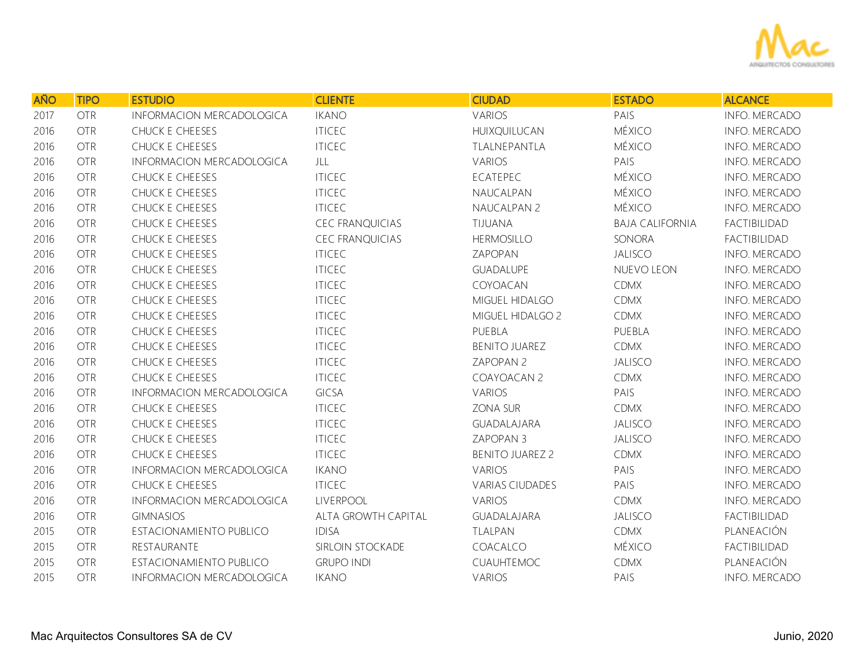

| <b>AÑO</b> | <b>TIPO</b> | <b>ESTUDIO</b>            | <b>CLIENTE</b>         | <b>CIUDAD</b>          | <b>ESTADO</b>          | <b>ALCANCE</b>       |
|------------|-------------|---------------------------|------------------------|------------------------|------------------------|----------------------|
| 2017       | <b>OTR</b>  | INFORMACION MERCADOLOGICA | <b>IKANO</b>           | VARIOS                 | PAIS                   | INFO. MERCADO        |
| 2016       | <b>OTR</b>  | CHUCK E CHEESES           | <b>ITICEC</b>          | HUIXQUILUCAN           | <b>MÉXICO</b>          | INFO. MERCADO        |
| 2016       | <b>OTR</b>  | CHUCK E CHEESES           | <b>ITICEC</b>          | TLALNEPANTLA           | <b>MÉXICO</b>          | <b>INFO. MERCADO</b> |
| 2016       | <b>OTR</b>  | INFORMACION MERCADOLOGICA | JLL                    | VARIOS                 | PAIS                   | INFO. MERCADO        |
| 2016       | <b>OTR</b>  | CHUCK E CHEESES           | <b>ITICEC</b>          | ECATEPEC               | <b>MÉXICO</b>          | INFO. MERCADO        |
| 2016       | <b>OTR</b>  | CHUCK E CHEESES           | <b>ITICEC</b>          | NAUCALPAN              | <b>MÉXICO</b>          | INFO. MERCADO        |
| 2016       | <b>OTR</b>  | CHUCK E CHEESES           | <b>ITICEC</b>          | NAUCALPAN 2            | <b>MÉXICO</b>          | INFO. MERCADO        |
| 2016       | <b>OTR</b>  | CHUCK E CHEESES           | <b>CEC FRANQUICIAS</b> | TIJUANA                | <b>BAJA CALIFORNIA</b> | FACTIBILIDAD         |
| 2016       | <b>OTR</b>  | CHUCK E CHEESES           | <b>CEC FRANQUICIAS</b> | <b>HERMOSILLO</b>      | SONORA                 | FACTIBILIDAD         |
| 2016       | <b>OTR</b>  | CHUCK E CHEESES           | <b>ITICEC</b>          | ZAPOPAN                | <b>JALISCO</b>         | <b>INFO. MERCADO</b> |
| 2016       | <b>OTR</b>  | CHUCK E CHEESES           | <b>ITICEC</b>          | GUADALUPE              | NUEVO LEON             | INFO. MERCADO        |
| 2016       | <b>OTR</b>  | CHUCK E CHEESES           | <b>ITICEC</b>          | COYOACAN               | <b>CDMX</b>            | <b>INFO. MERCADO</b> |
| 2016       | <b>OTR</b>  | CHUCK E CHEESES           | <b>ITICEC</b>          | MIGUEL HIDALGO         | <b>CDMX</b>            | INFO. MERCADO        |
| 2016       | <b>OTR</b>  | CHUCK E CHEESES           | <b>ITICEC</b>          | MIGUEL HIDALGO 2       | <b>CDMX</b>            | INFO. MERCADO        |
| 2016       | <b>OTR</b>  | CHUCK E CHEESES           | <b>ITICEC</b>          | PUEBLA                 | PUEBLA                 | INFO. MERCADO        |
| 2016       | <b>OTR</b>  | CHUCK E CHEESES           | <b>ITICEC</b>          | <b>BENITO JUAREZ</b>   | <b>CDMX</b>            | INFO. MERCADO        |
| 2016       | <b>OTR</b>  | CHUCK E CHEESES           | <b>ITICEC</b>          | ZAPOPAN 2              | <b>JALISCO</b>         | INFO. MERCADO        |
| 2016       | <b>OTR</b>  | CHUCK E CHEESES           | <b>ITICEC</b>          | COAYOACAN 2            | <b>CDMX</b>            | INFO. MERCADO        |
| 2016       | <b>OTR</b>  | INFORMACION MERCADOLOGICA | <b>GICSA</b>           | VARIOS                 | PAIS                   | <b>INFO. MERCADO</b> |
| 2016       | <b>OTR</b>  | CHUCK E CHEESES           | <b>ITICEC</b>          | ZONA SUR               | <b>CDMX</b>            | INFO. MERCADO        |
| 2016       | <b>OTR</b>  | CHUCK E CHEESES           | <b>ITICEC</b>          | GUADALAJARA            | <b>JALISCO</b>         | INFO. MERCADO        |
| 2016       | <b>OTR</b>  | CHUCK E CHEESES           | <b>ITICEC</b>          | ZAPOPAN 3              | <b>JALISCO</b>         | INFO. MERCADO        |
| 2016       | <b>OTR</b>  | CHUCK E CHEESES           | <b>ITICEC</b>          | <b>BENITO JUAREZ 2</b> | <b>CDMX</b>            | INFO. MERCADO        |
| 2016       | <b>OTR</b>  | INFORMACION MERCADOLOGICA | <b>IKANO</b>           | VARIOS                 | PAIS                   | INFO. MERCADO        |
| 2016       | <b>OTR</b>  | CHUCK E CHEESES           | <b>ITICEC</b>          | <b>VARIAS CIUDADES</b> | PAIS                   | INFO. MERCADO        |
| 2016       | <b>OTR</b>  | INFORMACION MERCADOLOGICA | <b>LIVERPOOL</b>       | <b>VARIOS</b>          | <b>CDMX</b>            | INFO. MERCADO        |
| 2016       | <b>OTR</b>  | <b>GIMNASIOS</b>          | ALTA GROWTH CAPITAL    | GUADALAJARA            | <b>JALISCO</b>         | FACTIBILIDAD         |
| 2015       | <b>OTR</b>  | ESTACIONAMIENTO PUBLICO   | <b>IDISA</b>           | TLALPAN                | <b>CDMX</b>            | PLANEACIÓN           |
| 2015       | <b>OTR</b>  | RESTAURANTE               | SIRLOIN STOCKADE       | COACALCO               | <b>MÉXICO</b>          | FACTIBILIDAD         |
| 2015       | <b>OTR</b>  | ESTACIONAMIENTO PUBLICO   | <b>GRUPO INDI</b>      | CUAUHTEMOC             | <b>CDMX</b>            | PLANEACIÓN           |
| 2015       | <b>OTR</b>  | INFORMACION MERCADOLOGICA | <b>IKANO</b>           | VARIOS                 | PAIS                   | INFO. MERCADO        |